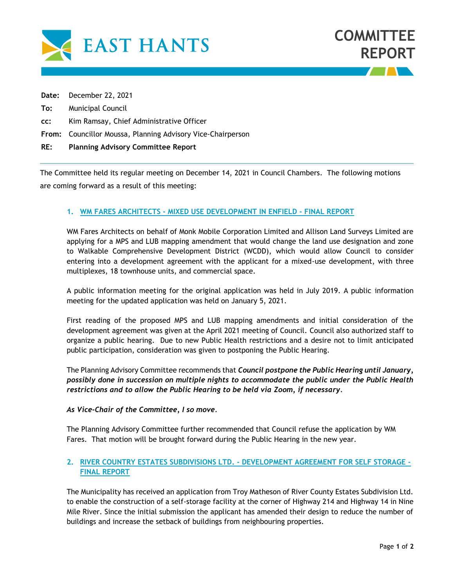



**Date:** December 22, 2021 **To:** Municipal Council **cc:** Kim Ramsay, Chief Administrative Officer **From:** Councillor Moussa, Planning Advisory Vice-Chairperson **RE: Planning Advisory Committee Report**

The Committee held its regular meeting on December 14, 2021 in Council Chambers. The following motions are coming forward as a result of this meeting:

# **1. WM FARES ARCHITECTS - MIXED USE DEVELOPMENT IN ENFIELD - FINAL REPORT**

WM Fares Architects on behalf of Monk Mobile Corporation Limited and Allison Land Surveys Limited are applying for a MPS and LUB mapping amendment that would change the land use designation and zone to Walkable Comprehensive Development District (WCDD), which would allow Council to consider entering into a development agreement with the applicant for a mixed-use development, with three multiplexes, 18 townhouse units, and commercial space.

A public information meeting for the original application was held in July 2019. A public information meeting for the updated application was held on January 5, 2021.

First reading of the proposed MPS and LUB mapping amendments and initial consideration of the development agreement was given at the April 2021 meeting of Council. Council also authorized staff to organize a public hearing. Due to new Public Health restrictions and a desire not to limit anticipated public participation, consideration was given to postponing the Public Hearing.

The Planning Advisory Committee recommends that *Council postpone the Public Hearing until January, possibly done in succession on multiple nights to accommodate the public under the Public Health restrictions and to allow the Public Hearing to be held via Zoom, if necessary.*

## *As Vice-Chair of the Committee, I so move.*

The Planning Advisory Committee further recommended that Council refuse the application by WM Fares. That motion will be brought forward during the Public Hearing in the new year.

# **2. RIVER COUNTRY ESTATES SUBDIVISIONS LTD. - DEVELOPMENT AGREEMENT FOR SELF STORAGE - FINAL REPORT**

The Municipality has received an application from Troy Matheson of River County Estates Subdivision Ltd. to enable the construction of a self-storage facility at the corner of Highway 214 and Highway 14 in Nine Mile River. Since the initial submission the applicant has amended their design to reduce the number of buildings and increase the setback of buildings from neighbouring properties.